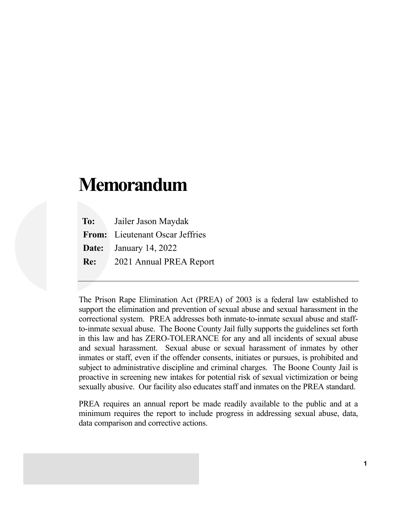# **Memorandum**

 **To:** Jailer Jason Maydak  **From:** Lieutenant Oscar Jeffries  **Date:** January 14, 2022  **Re:** 2021 Annual PREA Report

The Prison Rape Elimination Act (PREA) of 2003 is a federal law established to support the elimination and prevention of sexual abuse and sexual harassment in the correctional system. PREA addresses both inmate-to-inmate sexual abuse and staffto-inmate sexual abuse. The Boone County Jail fully supports the guidelines set forth in this law and has ZERO-TOLERANCE for any and all incidents of sexual abuse and sexual harassment. Sexual abuse or sexual harassment of inmates by other inmates or staff, even if the offender consents, initiates or pursues, is prohibited and subject to administrative discipline and criminal charges. The Boone County Jail is proactive in screening new intakes for potential risk of sexual victimization or being sexually abusive. Our facility also educates staff and inmates on the PREA standard.

PREA requires an annual report be made readily available to the public and at a minimum requires the report to include progress in addressing sexual abuse, data, data comparison and corrective actions.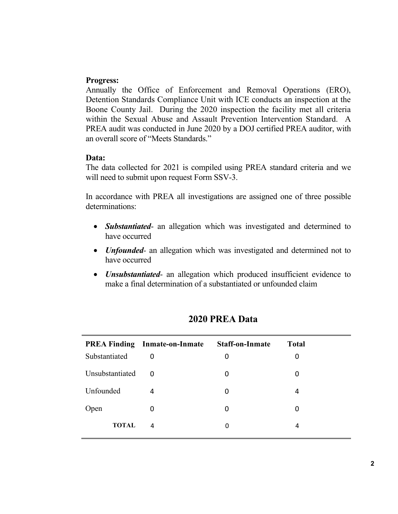#### **Progress:**

Annually the Office of Enforcement and Removal Operations (ERO), Detention Standards Compliance Unit with ICE conducts an inspection at the Boone County Jail. During the 2020 inspection the facility met all criteria within the Sexual Abuse and Assault Prevention Intervention Standard. A PREA audit was conducted in June 2020 by a DOJ certified PREA auditor, with an overall score of "Meets Standards."

#### **Data:**

The data collected for 2021 is compiled using PREA standard criteria and we will need to submit upon request Form SSV-3.

In accordance with PREA all investigations are assigned one of three possible determinations:

- *Substantiated* an allegation which was investigated and determined to have occurred
- *Unfounded-* an allegation which was investigated and determined not to have occurred
- *Unsubstantiated* an allegation which produced insufficient evidence to make a final determination of a substantiated or unfounded claim

|                 | <b>PREA Finding Inmate-on-Inmate</b> | <b>Staff-on-Inmate</b> | <b>Total</b> |  |
|-----------------|--------------------------------------|------------------------|--------------|--|
| Substantiated   | 0                                    | 0                      | 0            |  |
| Unsubstantiated | $\Omega$                             | 0                      | 0            |  |
| Unfounded       | 4                                    | 0                      | 4            |  |
| Open            |                                      | 0                      | 0            |  |
| <b>TOTAL</b>    | 4                                    | 0                      | 4            |  |

# **2020 PREA Data**